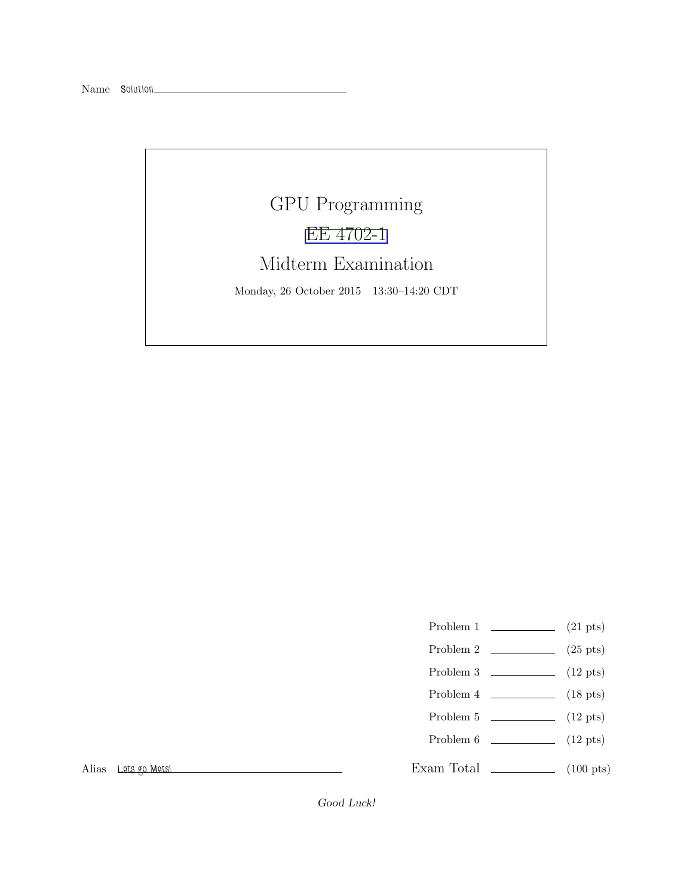Name Solution

## GPU Programming [EE 4702-1](http://www.ece.lsu.edu/koppel/gpup/) Midterm Examination Monday, 26 October 2015 13:30–14:20 CDT

- Problem 1  $\qquad \qquad$  (21 pts)
- Problem 2  $\qquad \qquad$  (25 pts)
- Problem 3  $\qquad \qquad$  (12 pts)
- Problem 4  $\sim$  (18 pts)
- Problem 5  $\qquad \qquad$  (12 pts)
- Problem  $6 \t\t(12 \text{ pts})$

Exam Total  $\qquad \qquad$  (100 pts)

Alias Lets go Mets!

Good Luck!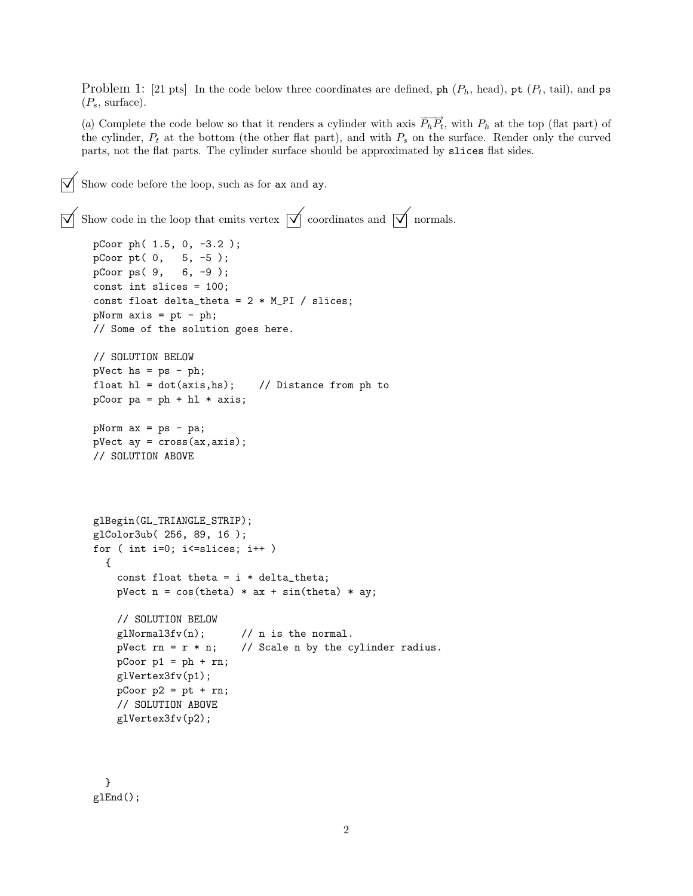Problem 1: [21 pts] In the code below three coordinates are defined, ph  $(P_h, \text{head})$ , pt  $(P_t, \text{tail})$ , and ps  $(P_s, \text{ surface}).$ 

(a) Complete the code below so that it renders a cylinder with axis  $\overrightarrow{P_hP_t}$ , with  $P_h$  at the top (flat part) of the cylinder,  $P_t$  at the bottom (the other flat part), and with  $P_s$  on the surface. Render only the curved parts, not the flat parts. The cylinder surface should be approximated by slices flat sides.

Show code before the loop, such as for ax and ay.

```
\overrightarrow{\bigtriangledown} Show code in the loop that emits vertex \overrightarrow{\bigtriangledown} coordinates and \overrightarrow{\bigtriangledown} normals.
      pCoor ph( 1.5, 0, -3.2 );
      pCoor pt( 0, 5, -5 );
      pCoor ps( 9, 6, -9 );
      const int slices = 100;
      const float delta_theta = 2 * M_PI / slices;
      pNorm \; axis = pt - ph;// Some of the solution goes here.
      // SOLUTION BELOW
      pVect hs = ps - ph;
      float hl = dot(axis, hs); // Distance from ph to
      pCoor pa = ph + hl * axis;pNorm ax = ps - pa;
      pVect ay = cross(ax,axis);
      // SOLUTION ABOVE
      glBegin(GL_TRIANGLE_STRIP);
      glColor3ub( 256, 89, 16 );
      for ( int i=0; i<=slices; i++ )
        {
          const float theta = i * delta_theta;
          pVect n = cos(theta) * ax + sin(theta) * ay;// SOLUTION BELOW
          g1Normal3fv(n); // n is the normal.
          pVect rn = r * n; // Scale n by the cylinder radius.
          pCoor p1 = ph + rn;glVertex3fv(p1);
          pCoor p2 = pt + rn;// SOLUTION ABOVE
          glVertex3fv(p2);
```
} glEnd();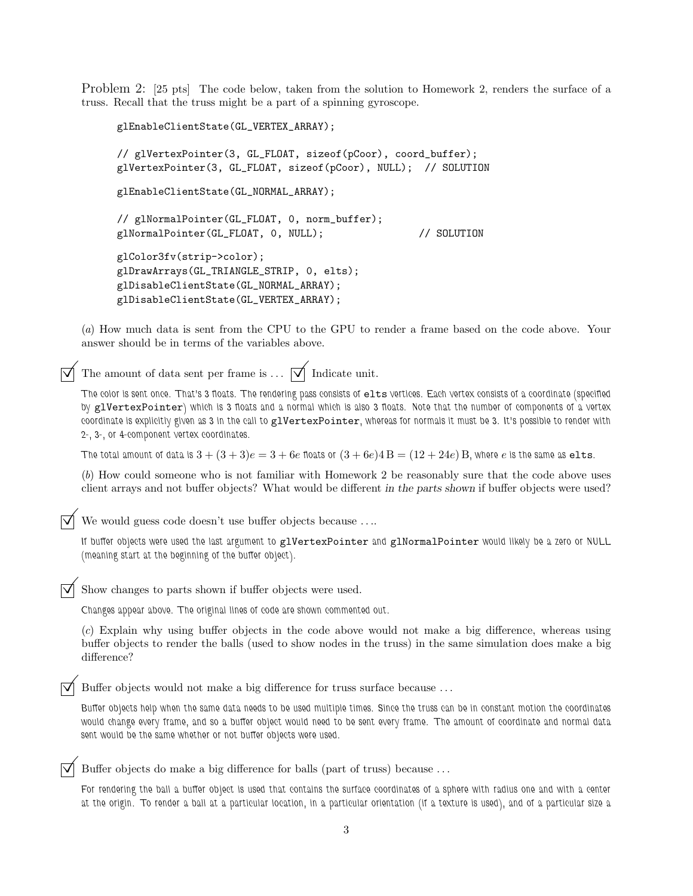Problem 2: [25 pts] The code below, taken from the solution to Homework 2, renders the surface of a truss. Recall that the truss might be a part of a spinning gyroscope.

```
glEnableClientState(GL_VERTEX_ARRAY);
// glVertexPointer(3, GL_FLOAT, sizeof(pCoor), coord_buffer);
glVertexPointer(3, GL_FLOAT, sizeof(pCoor), NULL); // SOLUTION
glEnableClientState(GL_NORMAL_ARRAY);
// glNormalPointer(GL_FLOAT, 0, norm_buffer);
glNormalPointer(GL_FLOAT, 0, NULL); // SOLUTION
glColor3fv(strip->color);
glDrawArrays(GL_TRIANGLE_STRIP, 0, elts);
glDisableClientState(GL_NORMAL_ARRAY);
glDisableClientState(GL_VERTEX_ARRAY);
```
(a) How much data is sent from the CPU to the GPU to render a frame based on the code above. Your answer should be in terms of the variables above.

The amount of data sent per frame is  $\ldots$   $\Box$  Indicate unit.

The color is sent once. That's 3 floats. The rendering pass consists of elts vertices. Each vertex consists of a coordinate (specified by glVertexPointer) which is 3 floats and a normal which is also 3 floats. Note that the number of components of a vertex coordinate is explicitly given as 3 in the call to glVertexPointer, whereas for normals it must be 3. It's possible to render with 2-, 3-, or 4-component vertex coordinates.

The total amount of data is  $3 + (3+3)e = 3+6e$  floats or  $(3+6e)4B = (12+24e)B$ , where e is the same as elts.

(b) How could someone who is not familiar with Homework 2 be reasonably sure that the code above uses client arrays and not buffer objects? What would be different in the parts shown if buffer objects were used?

We would guess code doesn't use buffer objects because . . ..

If buffer objects were used the last argument to glVertexPointer and glNormalPointer would likely be a zero or NULL (meaning start at the beginning of the buffer object).

Show changes to parts shown if buffer objects were used.

Changes appear above. The original lines of code are shown commented out.

(c) Explain why using buffer objects in the code above would not make a big difference, whereas using buffer objects to render the balls (used to show nodes in the truss) in the same simulation does make a big difference?

Buffer objects would not make a big difference for truss surface because . . .

Buffer objects help when the same data needs to be used multiple times. Since the truss can be in constant motion the coordinates would change every frame, and so a buffer object would need to be sent every frame. The amount of coordinate and normal data sent would be the same whether or not buffer objects were used.

Buffer objects do make a big difference for balls (part of truss) because . . .

For rendering the ball a buffer object is used that contains the surface coordinates of a sphere with radius one and with a center at the origin. To render a ball at a particular location, in a particular orientation (if a texture is used), and of a particular size a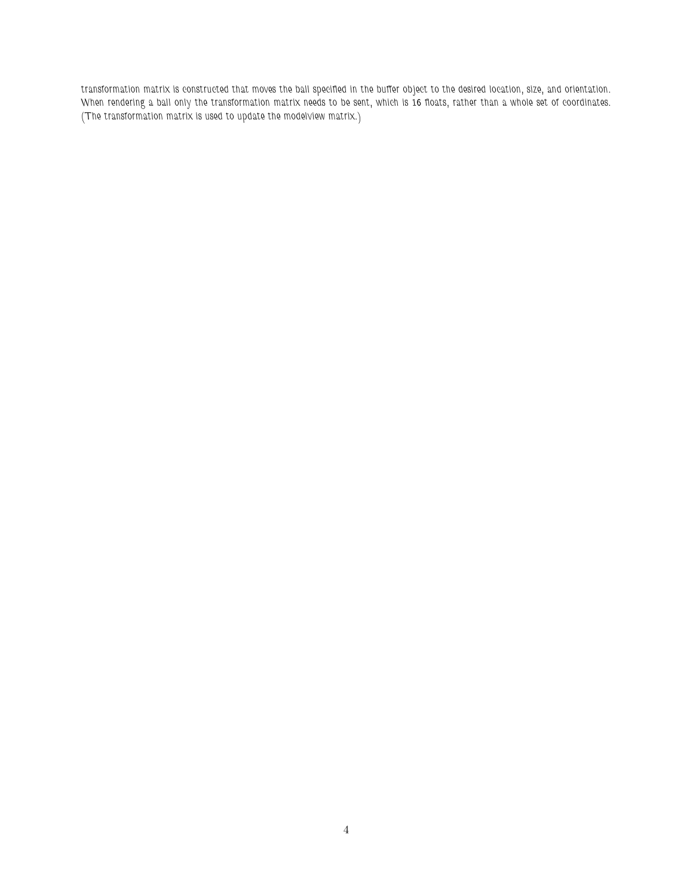transformation matrix is constructed that moves the ball specified in the buffer object to the desired location, size, and orientation. When rendering a ball only the transformation matrix needs to be sent, which is 16 floats, rather than a whole set of coordinates. (The transformation matrix is used to update the modelview matrix.)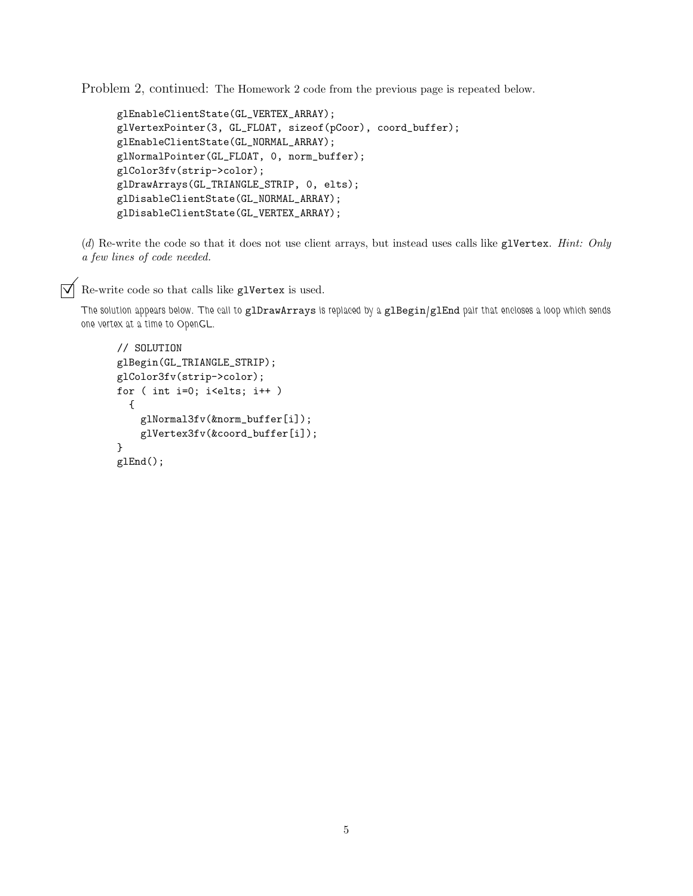Problem 2, continued: The Homework 2 code from the previous page is repeated below.

```
glEnableClientState(GL_VERTEX_ARRAY);
glVertexPointer(3, GL_FLOAT, sizeof(pCoor), coord_buffer);
glEnableClientState(GL_NORMAL_ARRAY);
glNormalPointer(GL_FLOAT, 0, norm_buffer);
glColor3fv(strip->color);
glDrawArrays(GL_TRIANGLE_STRIP, 0, elts);
glDisableClientState(GL_NORMAL_ARRAY);
glDisableClientState(GL_VERTEX_ARRAY);
```
(d) Re-write the code so that it does not use client arrays, but instead uses calls like glVertex. Hint: Only a few lines of code needed.

 $\triangledown$  Re-write code so that calls like glVertex is used.

The solution appears below. The call to glDrawArrays is replaced by a glBegin/glEnd pair that encloses a loop which sends one vertex at a time to OpenGL.

```
// SOLUTION
glBegin(GL_TRIANGLE_STRIP);
glColor3fv(strip->color);
for ( int i=0; i<elts; i++ )
  {
    glNormal3fv(&norm_buffer[i]);
    glVertex3fv(&coord_buffer[i]);
}
glEnd();
```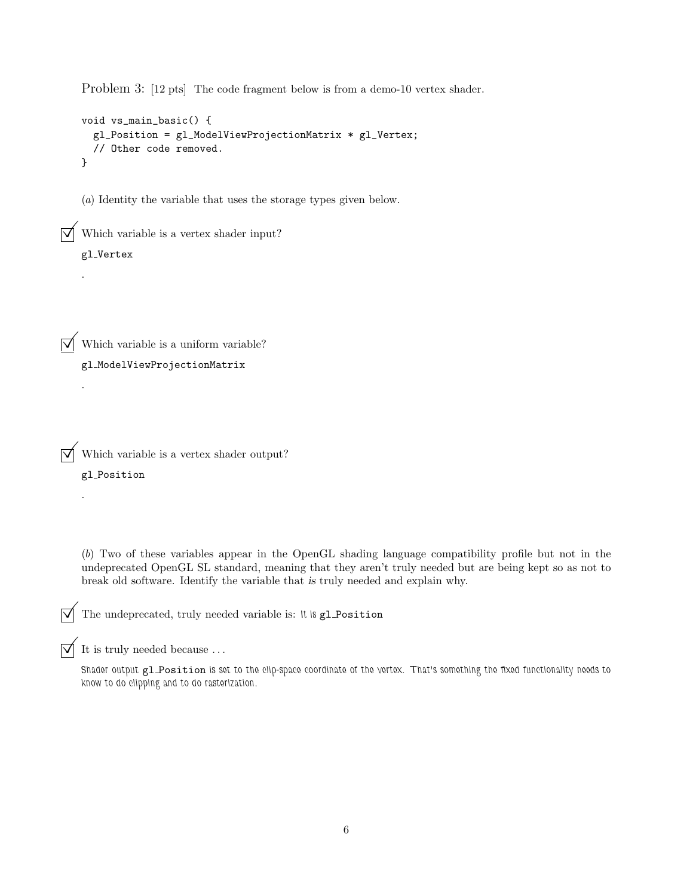Problem 3: [12 pts] The code fragment below is from a demo-10 vertex shader.

```
void vs_main_basic() {
 gl_Position = gl_ModelViewProjectionMatrix * gl_Vertex;
  // Other code removed.
}
```
(a) Identity the variable that uses the storage types given below.

 $\triangledown$  Which variable is a vertex shader input?

## gl Vertex

.

.

.

 $\triangledown$  Which variable is a uniform variable?

gl ModelViewProjectionMatrix

 $\overrightarrow{\mathsf{M}}$  Which variable is a vertex shader output?

gl Position

(b) Two of these variables appear in the OpenGL shading language compatibility profile but not in the undeprecated OpenGL SL standard, meaning that they aren't truly needed but are being kept so as not to break old software. Identify the variable that is truly needed and explain why.

 $\overrightarrow{\mathsf{V}}$  The undeprecated, truly needed variable is: It is gl Position

 $\overrightarrow{V}$  It is truly needed because ...

Shader output gl\_Position is set to the clip-space coordinate of the vertex. That's something the fixed functionality needs to know to do clipping and to do rasterization.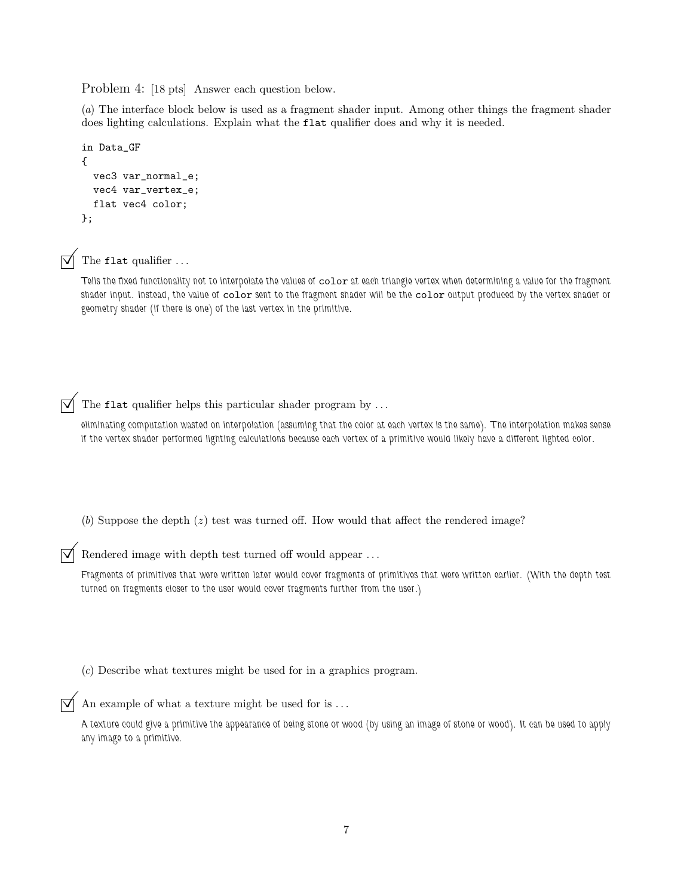Problem 4: [18 pts] Answer each question below.

(a) The interface block below is used as a fragment shader input. Among other things the fragment shader does lighting calculations. Explain what the flat qualifier does and why it is needed.

```
in Data_GF
{
  vec3 var_normal_e;
  vec4 var_vertex_e;
 flat vec4 color;
};
```


 $\triangledown$  The flat qualifier ...

Tells the fixed functionality not to interpolate the values of color at each triangle vertex when determining a value for the fragment shader input. Instead, the value of color sent to the fragment shader will be the color output produced by the vertex shader or geometry shader (if there is one) of the last vertex in the primitive.

 $\overrightarrow{\mathsf{q}}$  The flat qualifier helps this particular shader program by ...

eliminating computation wasted on interpolation (assuming that the color at each vertex is the same). The interpolation makes sense if the vertex shader performed lighting calculations because each vertex of a primitive would likely have a different lighted color.

(b) Suppose the depth  $(z)$  test was turned off. How would that affect the rendered image?

Rendered image with depth test turned off would appear . . .

Fragments of primitives that were written later would cover fragments of primitives that were written earlier. (With the depth test turned on fragments closer to the user would cover fragments further from the user.)

(c) Describe what textures might be used for in a graphics program.

An example of what a texture might be used for is ...

A texture could give a primitive the appearance of being stone or wood (by using an image of stone or wood). It can be used to apply any image to a primitive.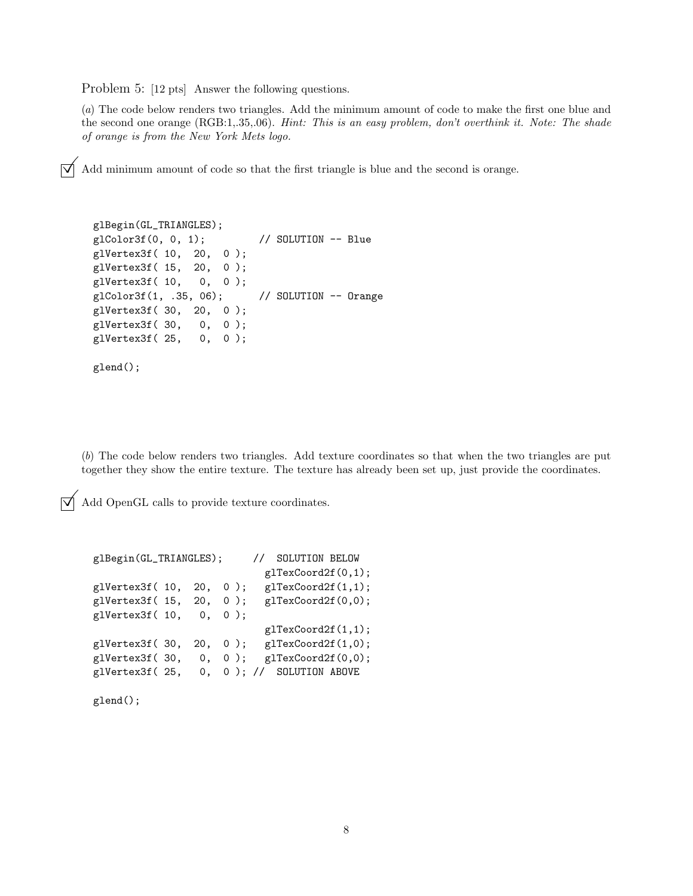Problem 5: [12 pts] Answer the following questions.

(a) The code below renders two triangles. Add the minimum amount of code to make the first one blue and the second one orange (RGB:1,.35,.06). Hint: This is an easy problem, don't overthink it. Note: The shade of orange is from the New York Mets logo.

 $\overrightarrow{\mathsf{d}}$  Add minimum amount of code so that the first triangle is blue and the second is orange.

```
glBegin(GL_TRIANGLES);
glColor3f(0, 0, 1); // SOLUTION -- Blue
glVertex3f( 10, 20, 0 );
glVertex3f( 15, 20, 0 );
glVertex3f( 10, 0, 0 );
glColor3f(1, .35, 06); // SOLUTION -- Orange
glVertex3f( 30, 20, 0 );
glVertex3f( 30, 0, 0 );
glVertex3f( 25, 0, 0 );
glend();
```
(b) The code below renders two triangles. Add texture coordinates so that when the two triangles are put together they show the entire texture. The texture has already been set up, just provide the coordinates.

 $\sqrt{\phantom{a}}$  Add OpenGL calls to provide texture coordinates.

```
glBegin(GL_TRIANGLES); // SOLUTION BELOW
                          glTexCoord2f(0,1);
g1Vertex3f( 10, 20, 0); g1TextCoord2f(1,1);glVertex3f( 15, 20, 0 ); glTexCoord2f(0,0);
glVertex3f( 10, 0, 0 );
                          glTexCoord2f(1,1);
glVertex3f( 30, 20, 0 ); glTexCoord2f(1,0);
g1Vertex3f(30, 0, 0); g1TextCoord2f(0,0);glVertex3f( 25, 0, 0 ); // SOLUTION ABOVE
```
glend();